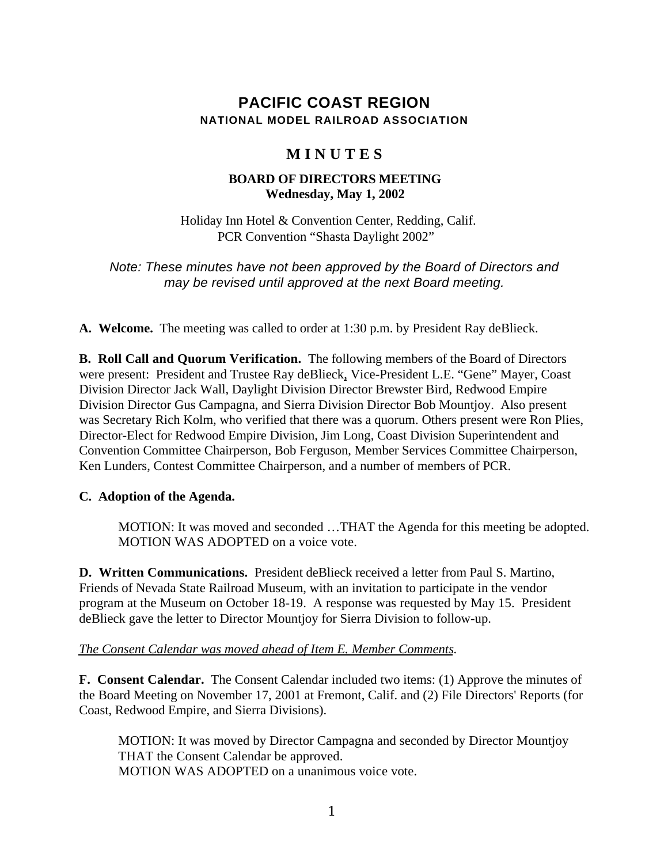# **PACIFIC COAST REGION NATIONAL MODEL RAILROAD ASSOCIATION**

# **M I N U T E S**

# **BOARD OF DIRECTORS MEETING Wednesday, May 1, 2002**

Holiday Inn Hotel & Convention Center, Redding, Calif. PCR Convention "Shasta Daylight 2002"

*Note: These minutes have not been approved by the Board of Directors and may be revised until approved at the next Board meeting.*

**A. Welcome.** The meeting was called to order at 1:30 p.m. by President Ray deBlieck.

**B. Roll Call and Quorum Verification.** The following members of the Board of Directors were present: President and Trustee Ray deBlieck, Vice-President L.E. "Gene" Mayer, Coast Division Director Jack Wall, Daylight Division Director Brewster Bird, Redwood Empire Division Director Gus Campagna, and Sierra Division Director Bob Mountjoy. Also present was Secretary Rich Kolm, who verified that there was a quorum. Others present were Ron Plies, Director-Elect for Redwood Empire Division, Jim Long, Coast Division Superintendent and Convention Committee Chairperson, Bob Ferguson, Member Services Committee Chairperson, Ken Lunders, Contest Committee Chairperson, and a number of members of PCR.

# **C. Adoption of the Agenda.**

MOTION: It was moved and seconded …THAT the Agenda for this meeting be adopted. MOTION WAS ADOPTED on a voice vote.

**D. Written Communications.** President deBlieck received a letter from Paul S. Martino, Friends of Nevada State Railroad Museum, with an invitation to participate in the vendor program at the Museum on October 18-19. A response was requested by May 15. President deBlieck gave the letter to Director Mountjoy for Sierra Division to follow-up.

# *The Consent Calendar was moved ahead of Item E. Member Comments.*

**F. Consent Calendar.** The Consent Calendar included two items: (1) Approve the minutes of the Board Meeting on November 17, 2001 at Fremont, Calif. and (2) File Directors' Reports (for Coast, Redwood Empire, and Sierra Divisions).

MOTION: It was moved by Director Campagna and seconded by Director Mountjoy THAT the Consent Calendar be approved. MOTION WAS ADOPTED on a unanimous voice vote.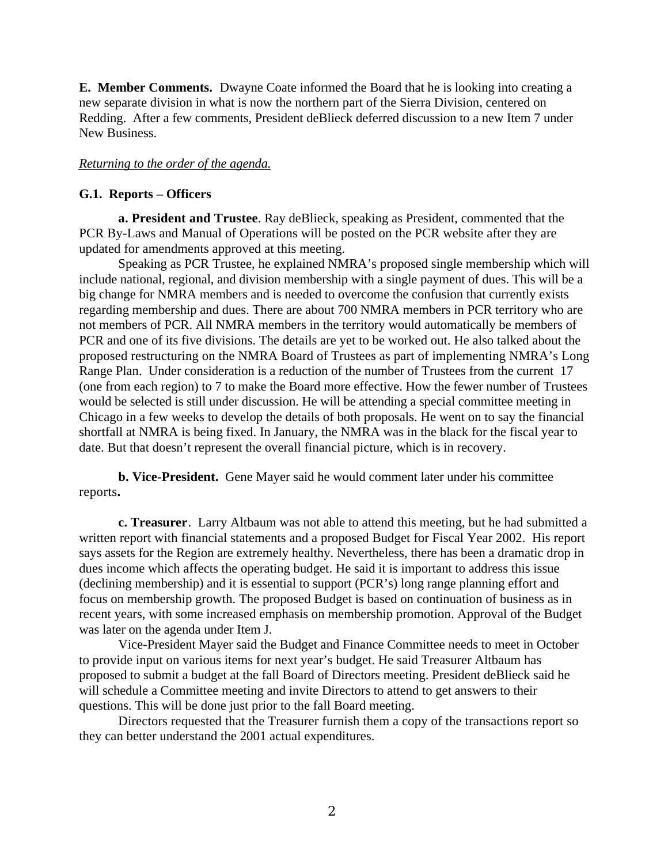**E. Member Comments.** Dwayne Coate informed the Board that he is looking into creating a new separate division in what is now the northern part of the Sierra Division, centered on Redding. After a few comments, President deBlieck deferred discussion to a new Item 7 under New Business.

## *Returning to the order of the agenda.*

#### **G.1. Reports – Officers**

**a. President and Trustee**. Ray deBlieck, speaking as President, commented that the PCR By-Laws and Manual of Operations will be posted on the PCR website after they are updated for amendments approved at this meeting.

Speaking as PCR Trustee, he explained NMRA's proposed single membership which will include national, regional, and division membership with a single payment of dues. This will be a big change for NMRA members and is needed to overcome the confusion that currently exists regarding membership and dues. There are about 700 NMRA members in PCR territory who are not members of PCR. All NMRA members in the territory would automatically be members of PCR and one of its five divisions. The details are yet to be worked out. He also talked about the proposed restructuring on the NMRA Board of Trustees as part of implementing NMRA's Long Range Plan. Under consideration is a reduction of the number of Trustees from the current 17 (one from each region) to 7 to make the Board more effective. How the fewer number of Trustees would be selected is still under discussion. He will be attending a special committee meeting in Chicago in a few weeks to develop the details of both proposals. He went on to say the financial shortfall at NMRA is being fixed. In January, the NMRA was in the black for the fiscal year to date. But that doesn't represent the overall financial picture, which is in recovery.

**b. Vice-President.** Gene Mayer said he would comment later under his committee reports**.**

**c. Treasurer**. Larry Altbaum was not able to attend this meeting, but he had submitted a written report with financial statements and a proposed Budget for Fiscal Year 2002. His report says assets for the Region are extremely healthy. Nevertheless, there has been a dramatic drop in dues income which affects the operating budget. He said it is important to address this issue (declining membership) and it is essential to support (PCR's) long range planning effort and focus on membership growth. The proposed Budget is based on continuation of business as in recent years, with some increased emphasis on membership promotion. Approval of the Budget was later on the agenda under Item J.

Vice-President Mayer said the Budget and Finance Committee needs to meet in October to provide input on various items for next year's budget. He said Treasurer Altbaum has proposed to submit a budget at the fall Board of Directors meeting. President deBlieck said he will schedule a Committee meeting and invite Directors to attend to get answers to their questions. This will be done just prior to the fall Board meeting.

Directors requested that the Treasurer furnish them a copy of the transactions report so they can better understand the 2001 actual expenditures.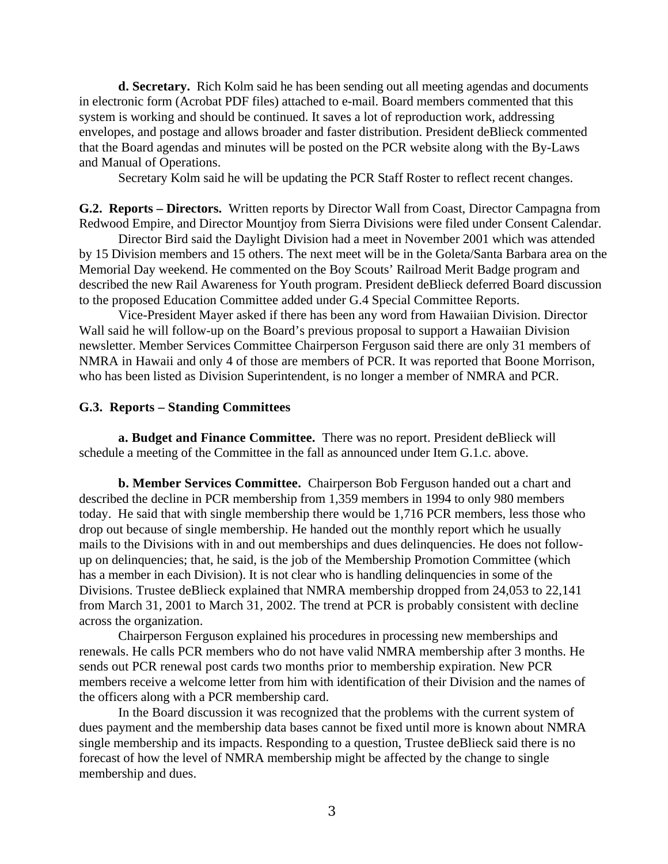**d. Secretary.** Rich Kolm said he has been sending out all meeting agendas and documents in electronic form (Acrobat PDF files) attached to e-mail. Board members commented that this system is working and should be continued. It saves a lot of reproduction work, addressing envelopes, and postage and allows broader and faster distribution. President deBlieck commented that the Board agendas and minutes will be posted on the PCR website along with the By-Laws and Manual of Operations.

Secretary Kolm said he will be updating the PCR Staff Roster to reflect recent changes.

**G.2. Reports – Directors.** Written reports by Director Wall from Coast, Director Campagna from Redwood Empire, and Director Mountjoy from Sierra Divisions were filed under Consent Calendar.

Director Bird said the Daylight Division had a meet in November 2001 which was attended by 15 Division members and 15 others. The next meet will be in the Goleta/Santa Barbara area on the Memorial Day weekend. He commented on the Boy Scouts' Railroad Merit Badge program and described the new Rail Awareness for Youth program. President deBlieck deferred Board discussion to the proposed Education Committee added under G.4 Special Committee Reports.

Vice-President Mayer asked if there has been any word from Hawaiian Division. Director Wall said he will follow-up on the Board's previous proposal to support a Hawaiian Division newsletter. Member Services Committee Chairperson Ferguson said there are only 31 members of NMRA in Hawaii and only 4 of those are members of PCR. It was reported that Boone Morrison, who has been listed as Division Superintendent, is no longer a member of NMRA and PCR.

#### **G.3. Reports – Standing Committees**

**a. Budget and Finance Committee.** There was no report. President deBlieck will schedule a meeting of the Committee in the fall as announced under Item G.1.c. above.

**b. Member Services Committee.** Chairperson Bob Ferguson handed out a chart and described the decline in PCR membership from 1,359 members in 1994 to only 980 members today. He said that with single membership there would be 1,716 PCR members, less those who drop out because of single membership. He handed out the monthly report which he usually mails to the Divisions with in and out memberships and dues delinquencies. He does not followup on delinquencies; that, he said, is the job of the Membership Promotion Committee (which has a member in each Division). It is not clear who is handling delinquencies in some of the Divisions. Trustee deBlieck explained that NMRA membership dropped from 24,053 to 22,141 from March 31, 2001 to March 31, 2002. The trend at PCR is probably consistent with decline across the organization.

Chairperson Ferguson explained his procedures in processing new memberships and renewals. He calls PCR members who do not have valid NMRA membership after 3 months. He sends out PCR renewal post cards two months prior to membership expiration. New PCR members receive a welcome letter from him with identification of their Division and the names of the officers along with a PCR membership card.

In the Board discussion it was recognized that the problems with the current system of dues payment and the membership data bases cannot be fixed until more is known about NMRA single membership and its impacts. Responding to a question, Trustee deBlieck said there is no forecast of how the level of NMRA membership might be affected by the change to single membership and dues.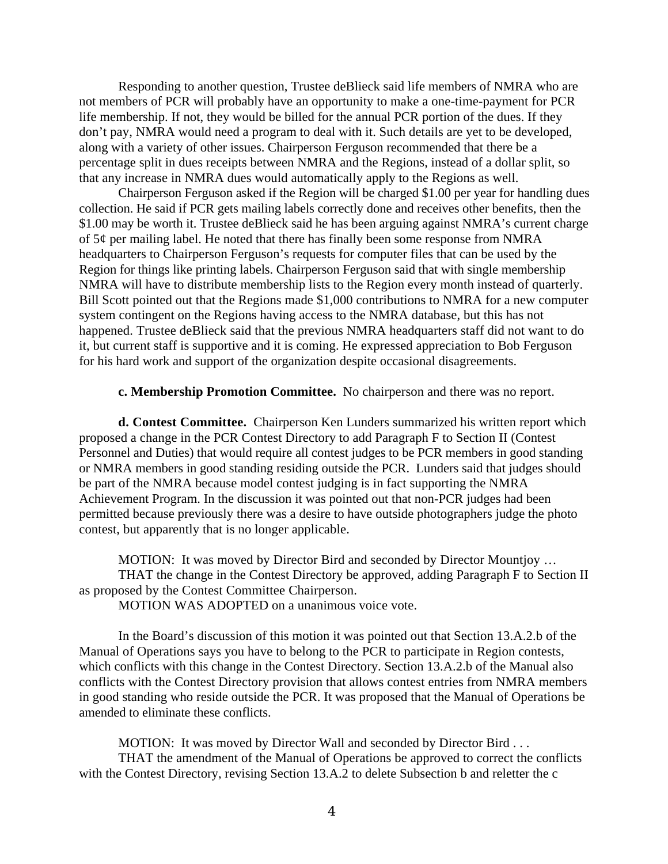Responding to another question, Trustee deBlieck said life members of NMRA who are not members of PCR will probably have an opportunity to make a one-time-payment for PCR life membership. If not, they would be billed for the annual PCR portion of the dues. If they don't pay, NMRA would need a program to deal with it. Such details are yet to be developed, along with a variety of other issues. Chairperson Ferguson recommended that there be a percentage split in dues receipts between NMRA and the Regions, instead of a dollar split, so that any increase in NMRA dues would automatically apply to the Regions as well.

Chairperson Ferguson asked if the Region will be charged \$1.00 per year for handling dues collection. He said if PCR gets mailing labels correctly done and receives other benefits, then the \$1.00 may be worth it. Trustee deBlieck said he has been arguing against NMRA's current charge of 5¢ per mailing label. He noted that there has finally been some response from NMRA headquarters to Chairperson Ferguson's requests for computer files that can be used by the Region for things like printing labels. Chairperson Ferguson said that with single membership NMRA will have to distribute membership lists to the Region every month instead of quarterly. Bill Scott pointed out that the Regions made \$1,000 contributions to NMRA for a new computer system contingent on the Regions having access to the NMRA database, but this has not happened. Trustee deBlieck said that the previous NMRA headquarters staff did not want to do it, but current staff is supportive and it is coming. He expressed appreciation to Bob Ferguson for his hard work and support of the organization despite occasional disagreements.

#### **c. Membership Promotion Committee.** No chairperson and there was no report.

**d. Contest Committee.** Chairperson Ken Lunders summarized his written report which proposed a change in the PCR Contest Directory to add Paragraph F to Section II (Contest Personnel and Duties) that would require all contest judges to be PCR members in good standing or NMRA members in good standing residing outside the PCR. Lunders said that judges should be part of the NMRA because model contest judging is in fact supporting the NMRA Achievement Program. In the discussion it was pointed out that non-PCR judges had been permitted because previously there was a desire to have outside photographers judge the photo contest, but apparently that is no longer applicable.

MOTION: It was moved by Director Bird and seconded by Director Mountjoy … THAT the change in the Contest Directory be approved, adding Paragraph F to Section II as proposed by the Contest Committee Chairperson.

MOTION WAS ADOPTED on a unanimous voice vote.

In the Board's discussion of this motion it was pointed out that Section 13.A.2.b of the Manual of Operations says you have to belong to the PCR to participate in Region contests, which conflicts with this change in the Contest Directory. Section 13.A.2.b of the Manual also conflicts with the Contest Directory provision that allows contest entries from NMRA members in good standing who reside outside the PCR. It was proposed that the Manual of Operations be amended to eliminate these conflicts.

MOTION: It was moved by Director Wall and seconded by Director Bird . . . THAT the amendment of the Manual of Operations be approved to correct the conflicts with the Contest Directory, revising Section 13.A.2 to delete Subsection b and reletter the c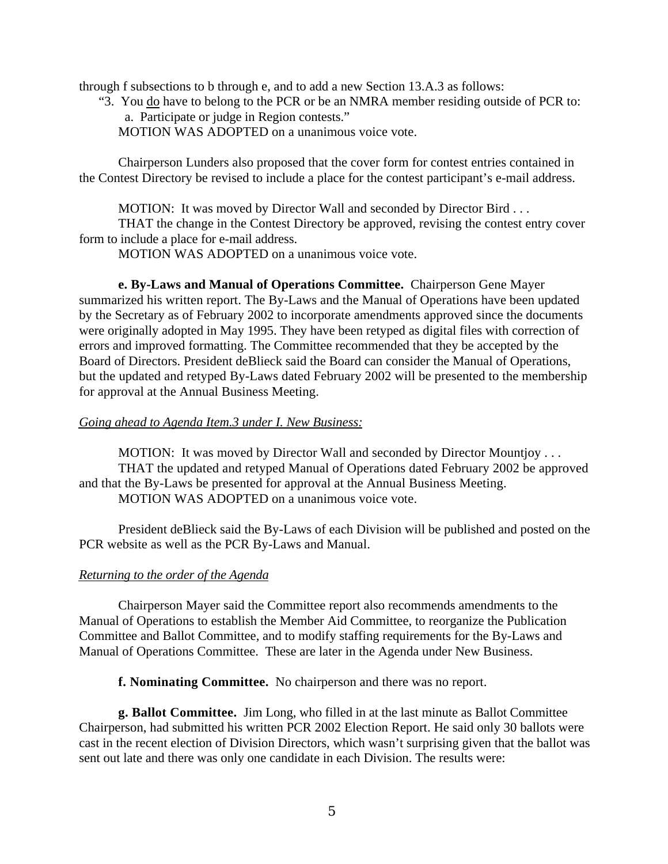through f subsections to b through e, and to add a new Section 13.A.3 as follows:

"3. You <u>do</u> have to belong to the PCR or be an NMRA member residing outside of PCR to: a. Participate or judge in Region contests."

MOTION WAS ADOPTED on a unanimous voice vote.

Chairperson Lunders also proposed that the cover form for contest entries contained in the Contest Directory be revised to include a place for the contest participant's e-mail address.

MOTION: It was moved by Director Wall and seconded by Director Bird . . .

THAT the change in the Contest Directory be approved, revising the contest entry cover form to include a place for e-mail address.

MOTION WAS ADOPTED on a unanimous voice vote.

**e. By-Laws and Manual of Operations Committee.** Chairperson Gene Mayer summarized his written report. The By-Laws and the Manual of Operations have been updated by the Secretary as of February 2002 to incorporate amendments approved since the documents were originally adopted in May 1995. They have been retyped as digital files with correction of errors and improved formatting. The Committee recommended that they be accepted by the Board of Directors. President deBlieck said the Board can consider the Manual of Operations, but the updated and retyped By-Laws dated February 2002 will be presented to the membership for approval at the Annual Business Meeting.

## *Going ahead to Agenda Item.3 under I. New Business:*

MOTION: It was moved by Director Wall and seconded by Director Mountjoy . . . THAT the updated and retyped Manual of Operations dated February 2002 be approved and that the By-Laws be presented for approval at the Annual Business Meeting. MOTION WAS ADOPTED on a unanimous voice vote.

President deBlieck said the By-Laws of each Division will be published and posted on the PCR website as well as the PCR By-Laws and Manual.

# *Returning to the order of the Agenda*

Chairperson Mayer said the Committee report also recommends amendments to the Manual of Operations to establish the Member Aid Committee, to reorganize the Publication Committee and Ballot Committee, and to modify staffing requirements for the By-Laws and Manual of Operations Committee. These are later in the Agenda under New Business.

**f. Nominating Committee.** No chairperson and there was no report.

**g. Ballot Committee.** Jim Long, who filled in at the last minute as Ballot Committee Chairperson, had submitted his written PCR 2002 Election Report. He said only 30 ballots were cast in the recent election of Division Directors, which wasn't surprising given that the ballot was sent out late and there was only one candidate in each Division. The results were: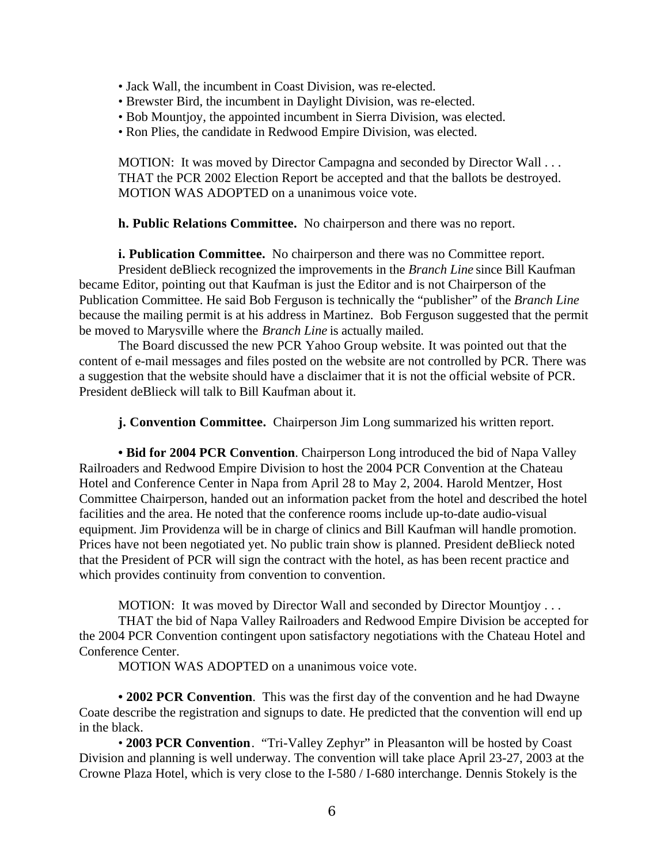- Jack Wall, the incumbent in Coast Division, was re-elected.
- Brewster Bird, the incumbent in Daylight Division, was re-elected.
- Bob Mountjoy, the appointed incumbent in Sierra Division, was elected.
- Ron Plies, the candidate in Redwood Empire Division, was elected.

MOTION: It was moved by Director Campagna and seconded by Director Wall . . . THAT the PCR 2002 Election Report be accepted and that the ballots be destroyed. MOTION WAS ADOPTED on a unanimous voice vote.

## **h. Public Relations Committee.** No chairperson and there was no report.

**i. Publication Committee.** No chairperson and there was no Committee report. President deBlieck recognized the improvements in the *Branch Line* since Bill Kaufman became Editor, pointing out that Kaufman is just the Editor and is not Chairperson of the Publication Committee. He said Bob Ferguson is technically the "publisher" of the *Branch Line* because the mailing permit is at his address in Martinez. Bob Ferguson suggested that the permit be moved to Marysville where the *Branch Line* is actually mailed.

The Board discussed the new PCR Yahoo Group website. It was pointed out that the content of e-mail messages and files posted on the website are not controlled by PCR. There was a suggestion that the website should have a disclaimer that it is not the official website of PCR. President deBlieck will talk to Bill Kaufman about it.

**j. Convention Committee.** Chairperson Jim Long summarized his written report.

**• Bid for 2004 PCR Convention**. Chairperson Long introduced the bid of Napa Valley Railroaders and Redwood Empire Division to host the 2004 PCR Convention at the Chateau Hotel and Conference Center in Napa from April 28 to May 2, 2004. Harold Mentzer, Host Committee Chairperson, handed out an information packet from the hotel and described the hotel facilities and the area. He noted that the conference rooms include up-to-date audio-visual equipment. Jim Providenza will be in charge of clinics and Bill Kaufman will handle promotion. Prices have not been negotiated yet. No public train show is planned. President deBlieck noted that the President of PCR will sign the contract with the hotel, as has been recent practice and which provides continuity from convention to convention.

MOTION: It was moved by Director Wall and seconded by Director Mountjoy . . .

THAT the bid of Napa Valley Railroaders and Redwood Empire Division be accepted for the 2004 PCR Convention contingent upon satisfactory negotiations with the Chateau Hotel and Conference Center.

MOTION WAS ADOPTED on a unanimous voice vote.

**• 2002 PCR Convention**. This was the first day of the convention and he had Dwayne Coate describe the registration and signups to date. He predicted that the convention will end up in the black.

• **2003 PCR Convention**. "Tri-Valley Zephyr" in Pleasanton will be hosted by Coast Division and planning is well underway. The convention will take place April 23-27, 2003 at the Crowne Plaza Hotel, which is very close to the I-580 / I-680 interchange. Dennis Stokely is the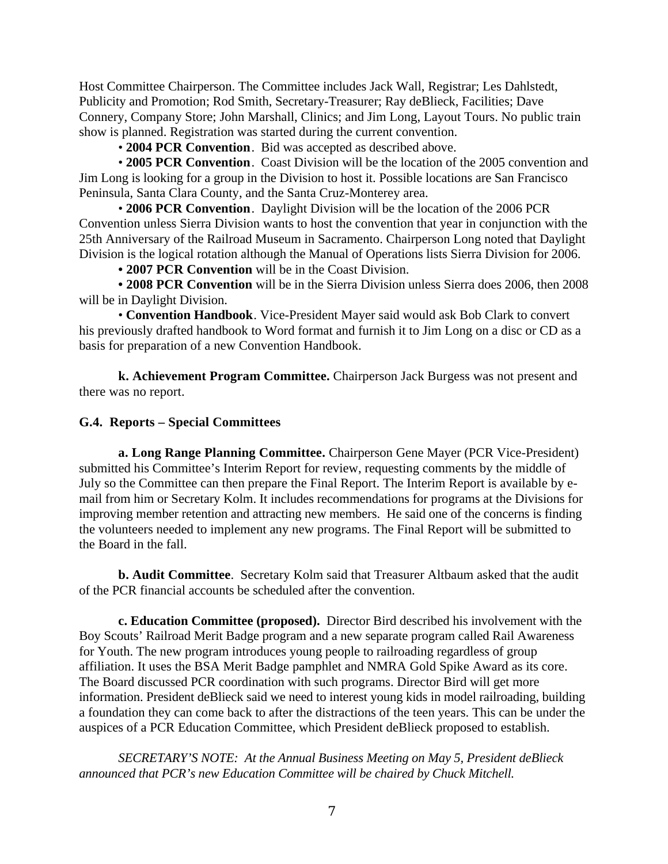Host Committee Chairperson. The Committee includes Jack Wall, Registrar; Les Dahlstedt, Publicity and Promotion; Rod Smith, Secretary-Treasurer; Ray deBlieck, Facilities; Dave Connery, Company Store; John Marshall, Clinics; and Jim Long, Layout Tours. No public train show is planned. Registration was started during the current convention.

• **2004 PCR Convention**. Bid was accepted as described above.

• **2005 PCR Convention**. Coast Division will be the location of the 2005 convention and Jim Long is looking for a group in the Division to host it. Possible locations are San Francisco Peninsula, Santa Clara County, and the Santa Cruz-Monterey area.

• **2006 PCR Convention**. Daylight Division will be the location of the 2006 PCR Convention unless Sierra Division wants to host the convention that year in conjunction with the 25th Anniversary of the Railroad Museum in Sacramento. Chairperson Long noted that Daylight Division is the logical rotation although the Manual of Operations lists Sierra Division for 2006.

**• 2007 PCR Convention** will be in the Coast Division.

**• 2008 PCR Convention** will be in the Sierra Division unless Sierra does 2006, then 2008 will be in Daylight Division.

• **Convention Handbook**. Vice-President Mayer said would ask Bob Clark to convert his previously drafted handbook to Word format and furnish it to Jim Long on a disc or CD as a basis for preparation of a new Convention Handbook.

**k. Achievement Program Committee.** Chairperson Jack Burgess was not present and there was no report.

## **G.4. Reports – Special Committees**

**a. Long Range Planning Committee.** Chairperson Gene Mayer (PCR Vice-President) submitted his Committee's Interim Report for review, requesting comments by the middle of July so the Committee can then prepare the Final Report. The Interim Report is available by email from him or Secretary Kolm. It includes recommendations for programs at the Divisions for improving member retention and attracting new members. He said one of the concerns is finding the volunteers needed to implement any new programs. The Final Report will be submitted to the Board in the fall.

**b. Audit Committee**. Secretary Kolm said that Treasurer Altbaum asked that the audit of the PCR financial accounts be scheduled after the convention.

**c. Education Committee (proposed).** Director Bird described his involvement with the Boy Scouts' Railroad Merit Badge program and a new separate program called Rail Awareness for Youth. The new program introduces young people to railroading regardless of group affiliation. It uses the BSA Merit Badge pamphlet and NMRA Gold Spike Award as its core. The Board discussed PCR coordination with such programs. Director Bird will get more information. President deBlieck said we need to interest young kids in model railroading, building a foundation they can come back to after the distractions of the teen years. This can be under the auspices of a PCR Education Committee, which President deBlieck proposed to establish.

*SECRETARY'S NOTE: At the Annual Business Meeting on May 5, President deBlieck announced that PCR's new Education Committee will be chaired by Chuck Mitchell.*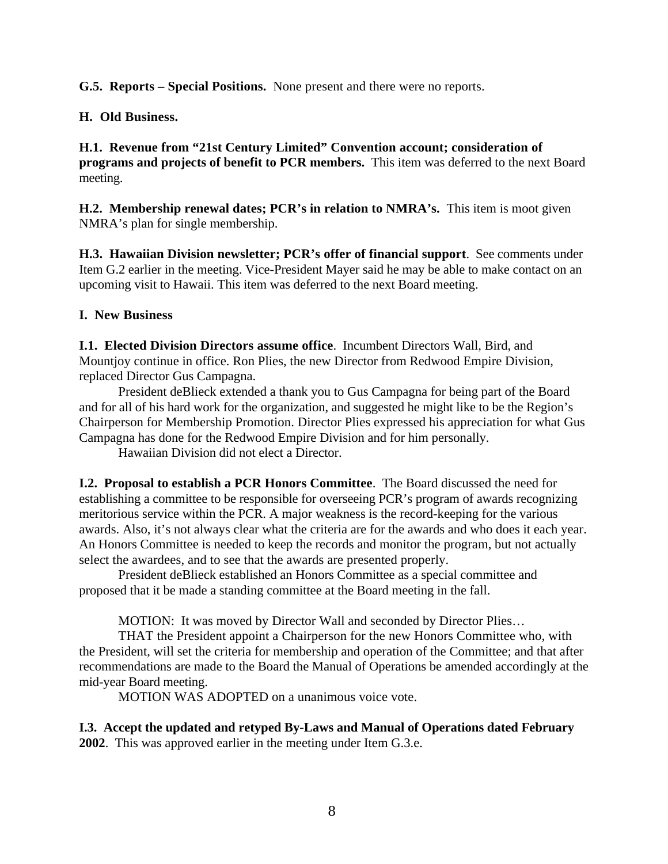**G.5. Reports – Special Positions.** None present and there were no reports.

# **H. Old Business.**

**H.1. Revenue from "21st Century Limited" Convention account; consideration of programs and projects of benefit to PCR members.** This item was deferred to the next Board meeting.

**H.2. Membership renewal dates; PCR's in relation to NMRA's.** This item is moot given NMRA's plan for single membership.

**H.3. Hawaiian Division newsletter; PCR's offer of financial support**. See comments under Item G.2 earlier in the meeting. Vice-President Mayer said he may be able to make contact on an upcoming visit to Hawaii. This item was deferred to the next Board meeting.

# **I. New Business**

**I.1. Elected Division Directors assume office**. Incumbent Directors Wall, Bird, and Mountjoy continue in office. Ron Plies, the new Director from Redwood Empire Division, replaced Director Gus Campagna.

President deBlieck extended a thank you to Gus Campagna for being part of the Board and for all of his hard work for the organization, and suggested he might like to be the Region's Chairperson for Membership Promotion. Director Plies expressed his appreciation for what Gus Campagna has done for the Redwood Empire Division and for him personally.

Hawaiian Division did not elect a Director.

**I.2. Proposal to establish a PCR Honors Committee**. The Board discussed the need for establishing a committee to be responsible for overseeing PCR's program of awards recognizing meritorious service within the PCR. A major weakness is the record-keeping for the various awards. Also, it's not always clear what the criteria are for the awards and who does it each year. An Honors Committee is needed to keep the records and monitor the program, but not actually select the awardees, and to see that the awards are presented properly.

President deBlieck established an Honors Committee as a special committee and proposed that it be made a standing committee at the Board meeting in the fall.

MOTION: It was moved by Director Wall and seconded by Director Plies…

THAT the President appoint a Chairperson for the new Honors Committee who, with the President, will set the criteria for membership and operation of the Committee; and that after recommendations are made to the Board the Manual of Operations be amended accordingly at the mid-year Board meeting.

MOTION WAS ADOPTED on a unanimous voice vote.

**I.3. Accept the updated and retyped By-Laws and Manual of Operations dated February 2002**. This was approved earlier in the meeting under Item G.3.e.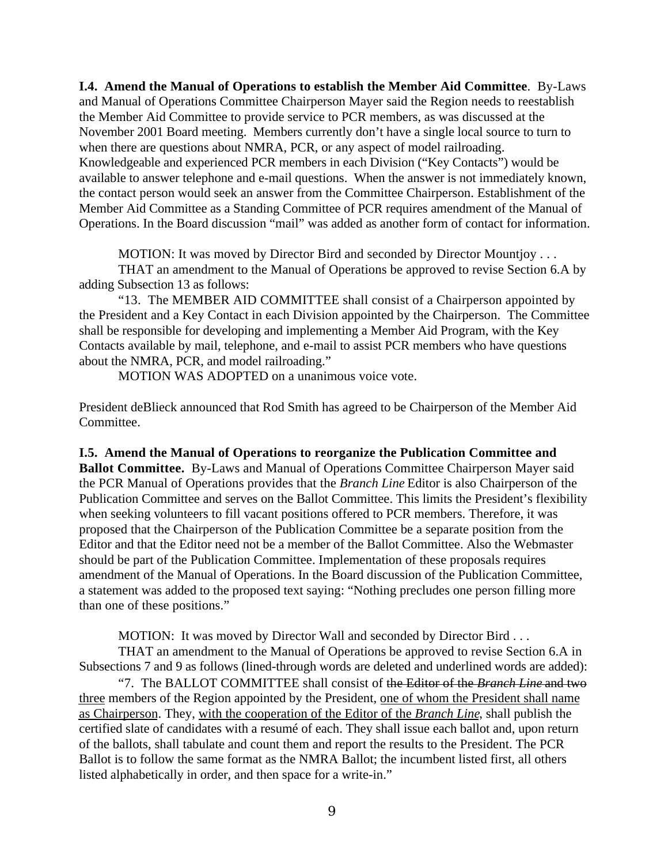**I.4. Amend the Manual of Operations to establish the Member Aid Committee**. By-Laws and Manual of Operations Committee Chairperson Mayer said the Region needs to reestablish the Member Aid Committee to provide service to PCR members, as was discussed at the November 2001 Board meeting. Members currently don't have a single local source to turn to when there are questions about NMRA, PCR, or any aspect of model railroading. Knowledgeable and experienced PCR members in each Division ("Key Contacts") would be available to answer telephone and e-mail questions. When the answer is not immediately known, the contact person would seek an answer from the Committee Chairperson. Establishment of the Member Aid Committee as a Standing Committee of PCR requires amendment of the Manual of Operations. In the Board discussion "mail" was added as another form of contact for information.

MOTION: It was moved by Director Bird and seconded by Director Mountjoy . . .

THAT an amendment to the Manual of Operations be approved to revise Section 6.A by adding Subsection 13 as follows:

"13. The MEMBER AID COMMITTEE shall consist of a Chairperson appointed by the President and a Key Contact in each Division appointed by the Chairperson. The Committee shall be responsible for developing and implementing a Member Aid Program, with the Key Contacts available by mail, telephone, and e-mail to assist PCR members who have questions about the NMRA, PCR, and model railroading."

MOTION WAS ADOPTED on a unanimous voice vote.

President deBlieck announced that Rod Smith has agreed to be Chairperson of the Member Aid Committee.

**I.5. Amend the Manual of Operations to reorganize the Publication Committee and Ballot Committee.** By-Laws and Manual of Operations Committee Chairperson Mayer said the PCR Manual of Operations provides that the *Branch Line* Editor is also Chairperson of the Publication Committee and serves on the Ballot Committee. This limits the President's flexibility when seeking volunteers to fill vacant positions offered to PCR members. Therefore, it was proposed that the Chairperson of the Publication Committee be a separate position from the Editor and that the Editor need not be a member of the Ballot Committee. Also the Webmaster should be part of the Publication Committee. Implementation of these proposals requires amendment of the Manual of Operations. In the Board discussion of the Publication Committee, a statement was added to the proposed text saying: "Nothing precludes one person filling more than one of these positions."

MOTION: It was moved by Director Wall and seconded by Director Bird . . .

THAT an amendment to the Manual of Operations be approved to revise Section 6.A in Subsections 7 and 9 as follows (lined-through words are deleted and underlined words are added):

"7. The BALLOT COMMITTEE shall consist of the Editor of the *Branch Line* and two three members of the Region appointed by the President, one of whom the President shall name as Chairperson. They, with the cooperation of the Editor of the *Branch Line*, shall publish the certified slate of candidates with a resumé of each. They shall issue each ballot and, upon return of the ballots, shall tabulate and count them and report the results to the President. The PCR Ballot is to follow the same format as the NMRA Ballot; the incumbent listed first, all others listed alphabetically in order, and then space for a write-in."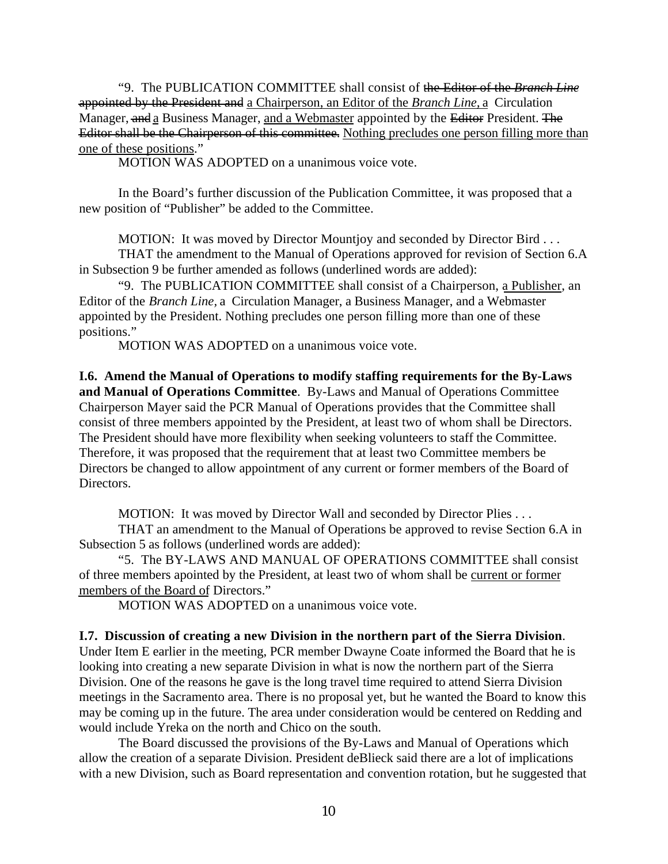"9. The PUBLICATION COMMITTEE shall consist of the Editor of the *Branch Line* appointed by the President and a Chairperson, an Editor of the *Branch Line,* a Circulation Manager, and a Business Manager, and a Webmaster appointed by the Editor President. The Editor shall be the Chairperson of this committee. Nothing precludes one person filling more than one of these positions."

MOTION WAS ADOPTED on a unanimous voice vote.

In the Board's further discussion of the Publication Committee, it was proposed that a new position of "Publisher" be added to the Committee.

MOTION: It was moved by Director Mountjoy and seconded by Director Bird . . .

THAT the amendment to the Manual of Operations approved for revision of Section 6.A in Subsection 9 be further amended as follows (underlined words are added):

"9. The PUBLICATION COMMITTEE shall consist of a Chairperson, a Publisher, an Editor of the *Branch Line,* a Circulation Manager, a Business Manager, and a Webmaster appointed by the President. Nothing precludes one person filling more than one of these positions."

MOTION WAS ADOPTED on a unanimous voice vote.

**I.6. Amend the Manual of Operations to modify staffing requirements for the By-Laws and Manual of Operations Committee**. By-Laws and Manual of Operations Committee Chairperson Mayer said the PCR Manual of Operations provides that the Committee shall consist of three members appointed by the President, at least two of whom shall be Directors. The President should have more flexibility when seeking volunteers to staff the Committee. Therefore, it was proposed that the requirement that at least two Committee members be Directors be changed to allow appointment of any current or former members of the Board of Directors.

MOTION: It was moved by Director Wall and seconded by Director Plies . . .

THAT an amendment to the Manual of Operations be approved to revise Section 6.A in Subsection 5 as follows (underlined words are added):

"5. The BY-LAWS AND MANUAL OF OPERATIONS COMMITTEE shall consist of three members apointed by the President, at least two of whom shall be current or former members of the Board of Directors."

MOTION WAS ADOPTED on a unanimous voice vote.

#### **I.7. Discussion of creating a new Division in the northern part of the Sierra Division**.

Under Item E earlier in the meeting, PCR member Dwayne Coate informed the Board that he is looking into creating a new separate Division in what is now the northern part of the Sierra Division. One of the reasons he gave is the long travel time required to attend Sierra Division meetings in the Sacramento area. There is no proposal yet, but he wanted the Board to know this may be coming up in the future. The area under consideration would be centered on Redding and would include Yreka on the north and Chico on the south.

The Board discussed the provisions of the By-Laws and Manual of Operations which allow the creation of a separate Division. President deBlieck said there are a lot of implications with a new Division, such as Board representation and convention rotation, but he suggested that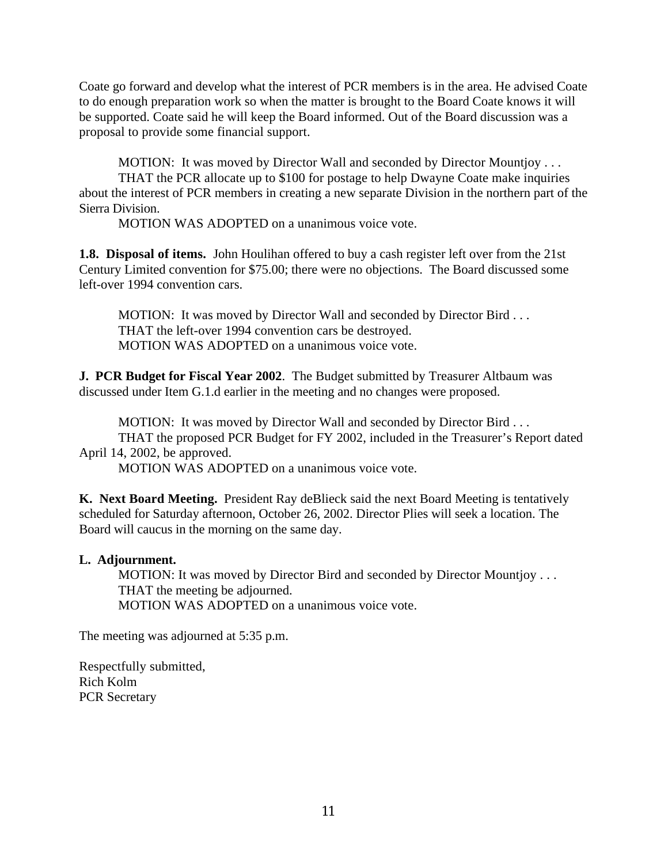Coate go forward and develop what the interest of PCR members is in the area. He advised Coate to do enough preparation work so when the matter is brought to the Board Coate knows it will be supported. Coate said he will keep the Board informed. Out of the Board discussion was a proposal to provide some financial support.

MOTION: It was moved by Director Wall and seconded by Director Mountjoy . . .

THAT the PCR allocate up to \$100 for postage to help Dwayne Coate make inquiries about the interest of PCR members in creating a new separate Division in the northern part of the Sierra Division.

MOTION WAS ADOPTED on a unanimous voice vote.

**1.8. Disposal of items.** John Houlihan offered to buy a cash register left over from the 21st Century Limited convention for \$75.00; there were no objections. The Board discussed some left-over 1994 convention cars.

MOTION: It was moved by Director Wall and seconded by Director Bird . . . THAT the left-over 1994 convention cars be destroyed. MOTION WAS ADOPTED on a unanimous voice vote.

**J. PCR Budget for Fiscal Year 2002**. The Budget submitted by Treasurer Altbaum was discussed under Item G.1.d earlier in the meeting and no changes were proposed.

MOTION: It was moved by Director Wall and seconded by Director Bird . . . THAT the proposed PCR Budget for FY 2002, included in the Treasurer's Report dated April 14, 2002, be approved.

MOTION WAS ADOPTED on a unanimous voice vote.

**K. Next Board Meeting.** President Ray deBlieck said the next Board Meeting is tentatively scheduled for Saturday afternoon, October 26, 2002. Director Plies will seek a location. The Board will caucus in the morning on the same day.

# **L. Adjournment.**

MOTION: It was moved by Director Bird and seconded by Director Mountjoy . . . THAT the meeting be adjourned. MOTION WAS ADOPTED on a unanimous voice vote.

The meeting was adjourned at 5:35 p.m.

Respectfully submitted, Rich Kolm PCR Secretary